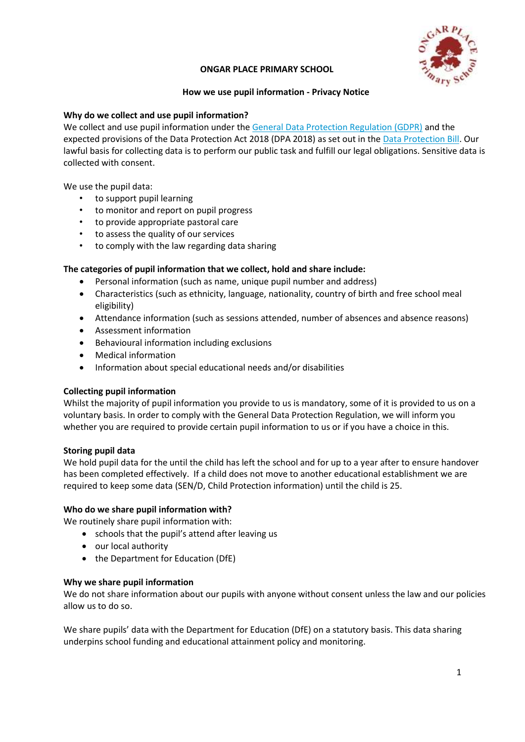

#### **ONGAR PLACE PRIMARY SCHOOL**

#### **How we use pupil information - Privacy Notice**

## **Why do we collect and use pupil information?**

We collect and use pupil information under the [General Data Protection Regulation \(GDPR\)](http://data.consilium.europa.eu/doc/document/ST-5419-2016-INIT/en/pdf) and the expected provisions of the Data Protection Act 2018 (DPA 2018) as set out in the [Data Protection Bill.](https://publications.parliament.uk/pa/bills/cbill/2017-2019/0153/18153.pdf) Our lawful basis for collecting data is to perform our public task and fulfill our legal obligations. Sensitive data is collected with consent.

We use the pupil data:

- to support pupil learning
- to monitor and report on pupil progress
- to provide appropriate pastoral care
- to assess the quality of our services
- to comply with the law regarding data sharing

## **The categories of pupil information that we collect, hold and share include:**

- Personal information (such as name, unique pupil number and address)
- Characteristics (such as ethnicity, language, nationality, country of birth and free school meal eligibility)
- Attendance information (such as sessions attended, number of absences and absence reasons)
- Assessment information
- Behavioural information including exclusions
- Medical information
- Information about special educational needs and/or disabilities

## **Collecting pupil information**

Whilst the majority of pupil information you provide to us is mandatory, some of it is provided to us on a voluntary basis. In order to comply with the General Data Protection Regulation, we will inform you whether you are required to provide certain pupil information to us or if you have a choice in this.

#### **Storing pupil data**

We hold pupil data for the until the child has left the school and for up to a year after to ensure handover has been completed effectively. If a child does not move to another educational establishment we are required to keep some data (SEN/D, Child Protection information) until the child is 25.

## **Who do we share pupil information with?**

We routinely share pupil information with:

- schools that the pupil's attend after leaving us
- our local authority
- the Department for Education (DfE)

#### **Why we share pupil information**

We do not share information about our pupils with anyone without consent unless the law and our policies allow us to do so.

We share pupils' data with the Department for Education (DfE) on a statutory basis. This data sharing underpins school funding and educational attainment policy and monitoring.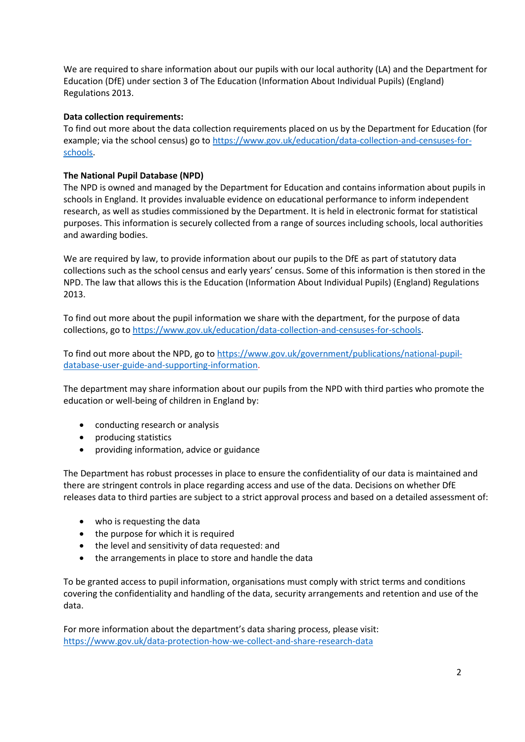We are required to share information about our pupils with our local authority (LA) and the Department for Education (DfE) under section 3 of The Education (Information About Individual Pupils) (England) Regulations 2013.

# **Data collection requirements:**

To find out more about the data collection requirements placed on us by the Department for Education (for example; via the school census) go to [https://www.gov.uk/education/data-collection-and-censuses-for](https://www.gov.uk/education/data-collection-and-censuses-for-schools)[schools.](https://www.gov.uk/education/data-collection-and-censuses-for-schools)

# **The National Pupil Database (NPD)**

The NPD is owned and managed by the Department for Education and contains information about pupils in schools in England. It provides invaluable evidence on educational performance to inform independent research, as well as studies commissioned by the Department. It is held in electronic format for statistical purposes. This information is securely collected from a range of sources including schools, local authorities and awarding bodies.

We are required by law, to provide information about our pupils to the DfE as part of statutory data collections such as the school census and early years' census. Some of this information is then stored in the NPD. The law that allows this is the Education (Information About Individual Pupils) (England) Regulations 2013.

To find out more about the pupil information we share with the department, for the purpose of data collections, go t[o https://www.gov.uk/education/data-collection-and-censuses-for-schools.](https://www.gov.uk/education/data-collection-and-censuses-for-schools)

To find out more about the NPD, go to [https://www.gov.uk/government/publications/national-pupil](https://www.gov.uk/government/publications/national-pupil-database-user-guide-and-supporting-information)[database-user-guide-and-supporting-information.](https://www.gov.uk/government/publications/national-pupil-database-user-guide-and-supporting-information)

The department may share information about our pupils from the NPD with third parties who promote the education or well-being of children in England by:

- conducting research or analysis
- producing statistics
- providing information, advice or guidance

The Department has robust processes in place to ensure the confidentiality of our data is maintained and there are stringent controls in place regarding access and use of the data. Decisions on whether DfE releases data to third parties are subject to a strict approval process and based on a detailed assessment of:

- who is requesting the data
- the purpose for which it is required
- the level and sensitivity of data requested: and
- the arrangements in place to store and handle the data

To be granted access to pupil information, organisations must comply with strict terms and conditions covering the confidentiality and handling of the data, security arrangements and retention and use of the data.

For more information about the department's data sharing process, please visit: <https://www.gov.uk/data-protection-how-we-collect-and-share-research-data>